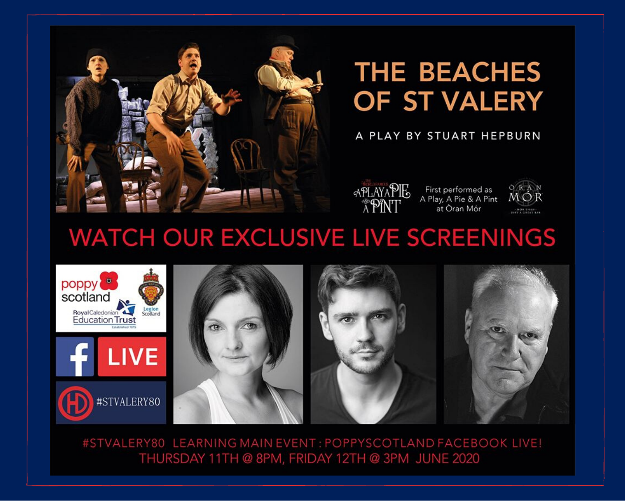

## **THE BEACHES** OF ST VALERY

## A PLAY BY STUART HEPBURN



First performed as A Play, A Pie & A Pint at Òran Mór



## **WATCH OUR EXCLUSIVE LIVE SCREENINGS**



#STVALERY80 LEARNING MAIN EVENT: POPPYSCOTLAND FACEBOOK LIVE! THURSDAY 11TH @ 8PM, FRIDAY 12TH @ 3PM JUNE 2020